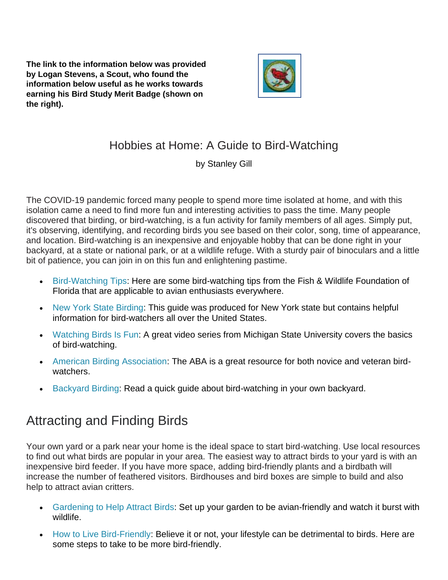**The link to the information below was provided by Logan Stevens, a Scout, who found the information below useful as he works towards earning his Bird Study Merit Badge (shown on the right).** 



#### Hobbies at Home: A Guide to Bird-Watching

by Stanley Gill

The COVID-19 pandemic forced many people to spend more time isolated at home, and with this isolation came a need to find more fun and interesting activities to pass the time. Many people discovered that birding, or bird-watching, is a fun activity for family members of all ages. Simply put, it's observing, identifying, and recording birds you see based on their color, song, time of appearance, and location. Bird-watching is an inexpensive and enjoyable hobby that can be done right in your backyard, at a state or national park, or at a wildlife refuge. With a sturdy pair of binoculars and a little bit of patience, you can join in on this fun and enlightening pastime.

- [Bird-Watching Tips:](https://floridabirdingtrail.com/birding-101-2/) Here are some bird-watching tips from the Fish & Wildlife Foundation of Florida that are applicable to avian enthusiasts everywhere.
- [New York State Birding:](https://www.dec.ny.gov/animals/109900.html) This guide was produced for New York state but contains helpful information for bird-watchers all over the United States.
- [Watching Birds Is Fun:](https://www.canr.msu.edu/news/watching-birds-is-fun-good-for-your-health-and-michigan-s-economy-too-msg21-nelson21) A great video series from Michigan State University covers the basics of bird-watching.
- [American Birding Association:](https://www.aba.org/american-birding-association/) The ABA is a great resource for both novice and veteran birdwatchers.
- [Backyard Birding:](https://www.worldanimalfoundation.org/advocate/wild-earth/params/post/1278174/backyard-birding) Read a quick guide about bird-watching in your own backyard.

## Attracting and Finding Birds

Your own yard or a park near your home is the ideal space to start bird-watching. Use local resources to find out what birds are popular in your area. The easiest way to attract birds to your yard is with an inexpensive bird feeder. If you have more space, adding bird-friendly plants and a birdbath will increase the number of feathered visitors. Birdhouses and bird boxes are simple to build and also help to attract avian critters.

- [Gardening to Help Attract Birds:](https://gardeningsolutions.ifas.ufl.edu/design/gardening-with-wildlife/gardening-for-birds.html) Set up your garden to be avian-friendly and watch it burst with wildlife.
- [How to Live Bird-Friendly:](https://nationalzoo.si.edu/migratory-birds/live-bird-friendly) Believe it or not, your lifestyle can be detrimental to birds. Here are some steps to take to be more bird-friendly.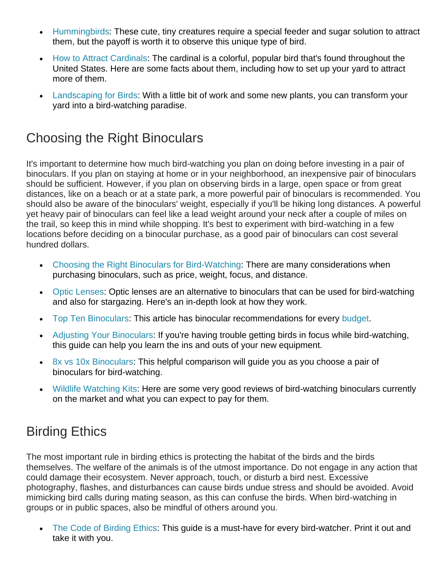- [Hummingbirds:](https://agrilifetoday.tamu.edu/2021/03/25/spring-is-the-time-to-put-out-hummingbird-feeders/) These cute, tiny creatures require a special feeder and sugar solution to attract them, but the payoff is worth it to observe this unique type of bird.
- [How to Attract Cardinals:](https://www.birdsandblooms.com/birding/attracting-birds/six-ways-attract-cardinals/) The cardinal is a colorful, popular bird that's found throughout the United States. Here are some facts about them, including how to set up your yard to attract more of them.
- [Landscaping for Birds:](http://gearycountyextension.com/Birds/bbg6.pdf) With a little bit of work and some new plants, you can transform your yard into a bird-watching paradise.

#### Choosing the Right Binoculars

It's important to determine how much bird-watching you plan on doing before investing in a pair of binoculars. If you plan on staying at home or in your neighborhood, an inexpensive pair of binoculars should be sufficient. However, if you plan on observing birds in a large, open space or from great distances, like on a beach or at a state park, a more powerful pair of binoculars is recommended. You should also be aware of the binoculars' weight, especially if you'll be hiking long distances. A powerful yet heavy pair of binoculars can feel like a lead weight around your neck after a couple of miles on the trail, so keep this in mind while shopping. It's best to experiment with bird-watching in a few locations before deciding on a binocular purchase, as a good pair of binoculars can cost several hundred dollars.

- [Choosing the Right Binoculars for Bird-Watching:](https://www.rspb.org.uk/birds-and-wildlife/wildlife-guides/birdwatching/choosing-bird-watching-equipment/how-to-choose-binoculars) There are many considerations when purchasing binoculars, such as price, weight, focus, and distance.
- [Optic Lenses:](https://baltimorebirdclub.org/choosing_optics.pdf) Optic lenses are an alternative to binoculars that can be used for bird-watching and also for stargazing. Here's an in-depth look at how they work.
- [Top Ten Binoculars:](https://opticsmag.com/best-binoculars-for-birding/) This article has binocular recommendations for every [budget.](https://apply.guaranteedrate.com/apply/loan-purpose)
- [Adjusting Your Binoculars:](http://extension.msstate.edu/blog/adjusting-binoculars-for-birdwatching) If you're having trouble getting birds in focus while bird-watching, this guide can help you learn the ins and outs of your new equipment.
- [8x vs 10x Binoculars:](https://www.birdwatchingusa.org/8x-vs-10x) This helpful comparison will guide you as you choose a pair of binoculars for bird-watching.
- [Wildlife Watching Kits:](https://www-ft-com.ezproxy.cul.columbia.edu/content/c952fd83-c398-416a-aff4-56b78719968e) Here are some very good reviews of bird-watching binoculars currently on the market and what you can expect to pay for them.

### Birding Ethics

The most important rule in birding ethics is protecting the habitat of the birds and the birds themselves. The welfare of the animals is of the utmost importance. Do not engage in any action that could damage their ecosystem. Never approach, touch, or disturb a bird nest. Excessive photography, flashes, and disturbances can cause birds undue stress and should be avoided. Avoid mimicking bird calls during mating season, as this can confuse the birds. When bird-watching in groups or in public spaces, also be mindful of others around you.

• [The Code of Birding Ethics:](https://u.osu.edu/bell.1214/getting-started/code-of-birding-ethics/) This guide is a must-have for every bird-watcher. Print it out and take it with you.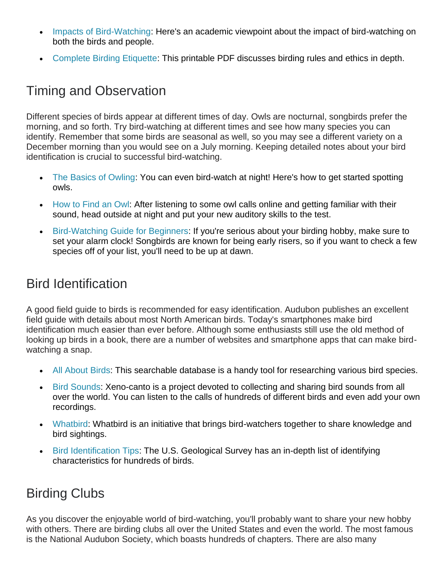- [Impacts of Bird-Watching:](https://web.stanford.edu/~cagan/SekerciogluOrniTourismEnvCons2002.pdf) Here's an academic viewpoint about the impact of bird-watching on both the birds and people.
- [Complete Birding Etiquette:](https://www.mindfulbirding.org/images/mindful/pdfs/complete.pdf) This printable PDF discusses birding rules and ethics in depth.

### Timing and Observation

Different species of birds appear at different times of day. Owls are nocturnal, songbirds prefer the morning, and so forth. Try bird-watching at different times and see how many species you can identify. Remember that some birds are seasonal as well, so you may see a different variety on a December morning than you would see on a July morning. Keeping detailed notes about your bird identification is crucial to successful bird-watching.

- [The Basics of Owling:](https://www.thespruce.com/tips-on-owling-386696#:~:text=The%20best%20time%20of%20day,light%20for%20effective%20owl%20spotting.) You can even bird-watch at night! Here's how to get started spotting owls.
- [How to Find an Owl:](https://blogs.massaudubon.org/yourgreatoutdoors/owling-101-how-to-spot-an-owl/) After listening to some owl calls online and getting familiar with their sound, head outside at night and put your new auditory skills to the test.
- [Bird-Watching Guide for Beginners:](https://ny.audubon.org/news/bird-watching-101-guide-beginners) If you're serious about your birding hobby, make sure to set your alarm clock! Songbirds are known for being early risers, so if you want to check a few species off of your list, you'll need to be up at dawn.

#### Bird Identification

A good field guide to birds is recommended for easy identification. Audubon publishes an excellent field guide with details about most North American birds. Today's smartphones make bird identification much easier than ever before. Although some enthusiasts still use the old method of looking up birds in a book, there are a number of websites and smartphone apps that can make birdwatching a snap.

- [All About Birds:](https://www.allaboutbirds.org/guide/search) This searchable database is a handy tool for researching various bird species.
- [Bird Sounds:](https://www.xeno-canto.org/) Xeno-canto is a project devoted to collecting and sharing bird sounds from all over the world. You can listen to the calls of hundreds of different birds and even add your own recordings.
- [Whatbird:](https://www.whatbird.com/) Whatbird is an initiative that brings bird-watchers together to share knowledge and bird sightings.
- [Bird Identification Tips:](https://www.mbr-pwrc.usgs.gov/id/idlist.html) The U.S. Geological Survey has an in-depth list of identifying characteristics for hundreds of birds.

# Birding Clubs

As you discover the enjoyable world of bird-watching, you'll probably want to share your new hobby with others. There are birding clubs all over the United States and even the world. The most famous is the National Audubon Society, which boasts hundreds of chapters. There are also many